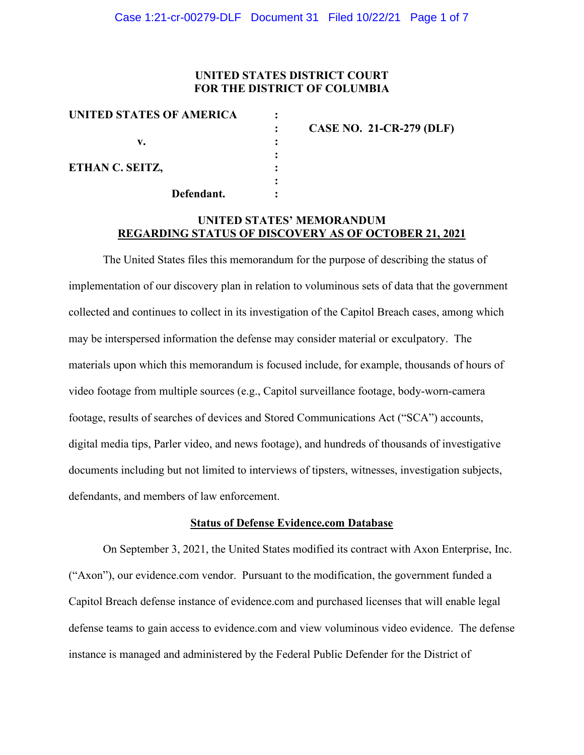### **UNITED STATES DISTRICT COURT FOR THE DISTRICT OF COLUMBIA**

| UNITED STATES OF AMERICA |                                 |
|--------------------------|---------------------------------|
|                          | <b>CASE NO. 21-CR-279 (DLF)</b> |
| v.                       |                                 |
|                          |                                 |
| ETHAN C. SEITZ,          |                                 |
|                          |                                 |
| Defendant.               |                                 |

## **UNITED STATES' MEMORANDUM REGARDING STATUS OF DISCOVERY AS OF OCTOBER 21, 2021**

The United States files this memorandum for the purpose of describing the status of implementation of our discovery plan in relation to voluminous sets of data that the government collected and continues to collect in its investigation of the Capitol Breach cases, among which may be interspersed information the defense may consider material or exculpatory. The materials upon which this memorandum is focused include, for example, thousands of hours of video footage from multiple sources (e.g., Capitol surveillance footage, body-worn-camera footage, results of searches of devices and Stored Communications Act ("SCA") accounts, digital media tips, Parler video, and news footage), and hundreds of thousands of investigative documents including but not limited to interviews of tipsters, witnesses, investigation subjects, defendants, and members of law enforcement.

#### **Status of Defense Evidence.com Database**

On September 3, 2021, the United States modified its contract with Axon Enterprise, Inc. ("Axon"), our evidence.com vendor. Pursuant to the modification, the government funded a Capitol Breach defense instance of evidence.com and purchased licenses that will enable legal defense teams to gain access to evidence.com and view voluminous video evidence. The defense instance is managed and administered by the Federal Public Defender for the District of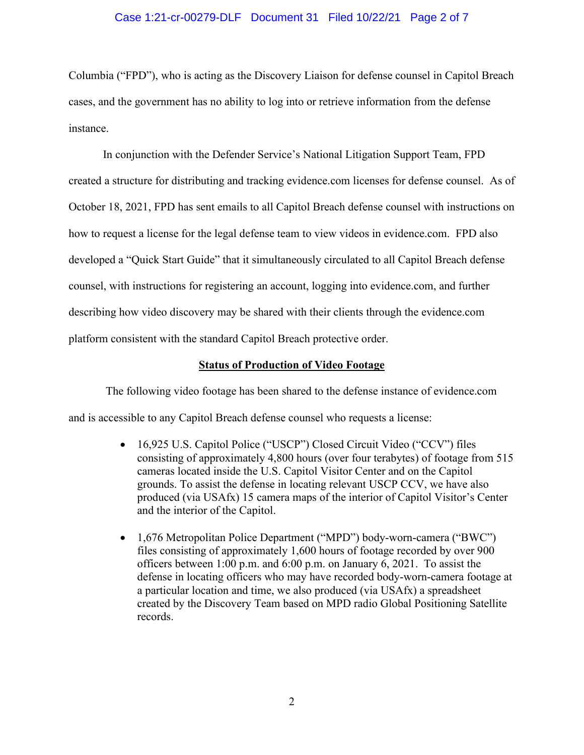### Case 1:21-cr-00279-DLF Document 31 Filed 10/22/21 Page 2 of 7

Columbia ("FPD"), who is acting as the Discovery Liaison for defense counsel in Capitol Breach cases, and the government has no ability to log into or retrieve information from the defense instance.

In conjunction with the Defender Service's National Litigation Support Team, FPD created a structure for distributing and tracking evidence.com licenses for defense counsel. As of October 18, 2021, FPD has sent emails to all Capitol Breach defense counsel with instructions on how to request a license for the legal defense team to view videos in evidence.com. FPD also developed a "Quick Start Guide" that it simultaneously circulated to all Capitol Breach defense counsel, with instructions for registering an account, logging into evidence.com, and further describing how video discovery may be shared with their clients through the evidence.com platform consistent with the standard Capitol Breach protective order.

### **Status of Production of Video Footage**

The following video footage has been shared to the defense instance of evidence.com and is accessible to any Capitol Breach defense counsel who requests a license:

- 16,925 U.S. Capitol Police ("USCP") Closed Circuit Video ("CCV") files consisting of approximately 4,800 hours (over four terabytes) of footage from 515 cameras located inside the U.S. Capitol Visitor Center and on the Capitol grounds. To assist the defense in locating relevant USCP CCV, we have also produced (via USAfx) 15 camera maps of the interior of Capitol Visitor's Center and the interior of the Capitol.
- 1,676 Metropolitan Police Department ("MPD") body-worn-camera ("BWC") files consisting of approximately 1,600 hours of footage recorded by over 900 officers between 1:00 p.m. and 6:00 p.m. on January 6, 2021. To assist the defense in locating officers who may have recorded body-worn-camera footage at a particular location and time, we also produced (via USAfx) a spreadsheet created by the Discovery Team based on MPD radio Global Positioning Satellite records.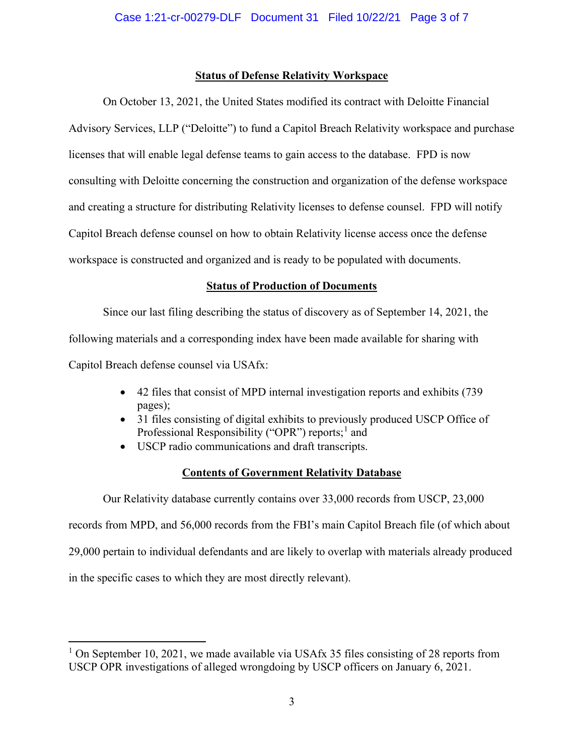## **Status of Defense Relativity Workspace**

On October 13, 2021, the United States modified its contract with Deloitte Financial Advisory Services, LLP ("Deloitte") to fund a Capitol Breach Relativity workspace and purchase licenses that will enable legal defense teams to gain access to the database. FPD is now consulting with Deloitte concerning the construction and organization of the defense workspace and creating a structure for distributing Relativity licenses to defense counsel. FPD will notify Capitol Breach defense counsel on how to obtain Relativity license access once the defense workspace is constructed and organized and is ready to be populated with documents.

# **Status of Production of Documents**

Since our last filing describing the status of discovery as of September 14, 2021, the following materials and a corresponding index have been made available for sharing with Capitol Breach defense counsel via USAfx:

- 42 files that consist of MPD internal investigation reports and exhibits (739 pages);
- 31 files consisting of digital exhibits to previously produced USCP Office of Professional Responsibility ("OPR") reports;<sup>1</sup> and
- USCP radio communications and draft transcripts.

# **Contents of Government Relativity Database**

Our Relativity database currently contains over 33,000 records from USCP, 23,000 records from MPD, and 56,000 records from the FBI's main Capitol Breach file (of which about 29,000 pertain to individual defendants and are likely to overlap with materials already produced in the specific cases to which they are most directly relevant).

<sup>&</sup>lt;sup>1</sup> On September 10, 2021, we made available via USAfx 35 files consisting of 28 reports from USCP OPR investigations of alleged wrongdoing by USCP officers on January 6, 2021.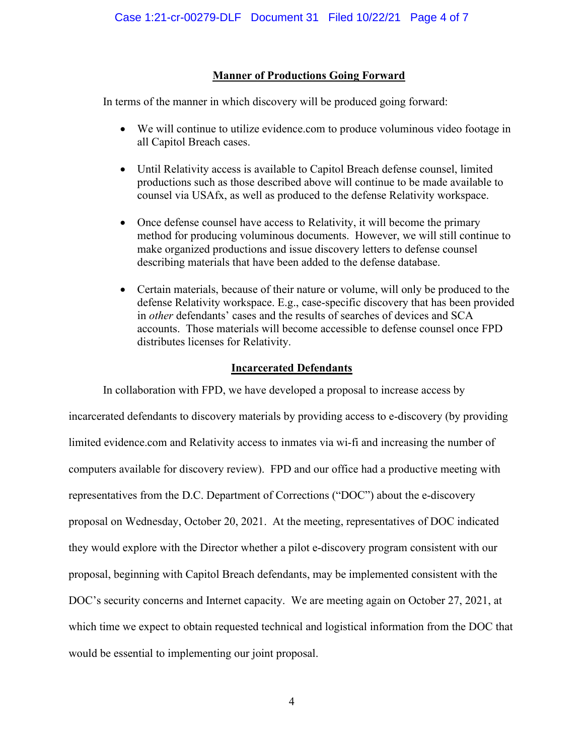# **Manner of Productions Going Forward**

In terms of the manner in which discovery will be produced going forward:

- We will continue to utilize evidence.com to produce voluminous video footage in all Capitol Breach cases.
- Until Relativity access is available to Capitol Breach defense counsel, limited productions such as those described above will continue to be made available to counsel via USAfx, as well as produced to the defense Relativity workspace.
- Once defense counsel have access to Relativity, it will become the primary method for producing voluminous documents. However, we will still continue to make organized productions and issue discovery letters to defense counsel describing materials that have been added to the defense database.
- Certain materials, because of their nature or volume, will only be produced to the defense Relativity workspace. E.g., case-specific discovery that has been provided in *other* defendants' cases and the results of searches of devices and SCA accounts. Those materials will become accessible to defense counsel once FPD distributes licenses for Relativity.

## **Incarcerated Defendants**

In collaboration with FPD, we have developed a proposal to increase access by incarcerated defendants to discovery materials by providing access to e-discovery (by providing limited evidence.com and Relativity access to inmates via wi-fi and increasing the number of computers available for discovery review). FPD and our office had a productive meeting with representatives from the D.C. Department of Corrections ("DOC") about the e-discovery proposal on Wednesday, October 20, 2021. At the meeting, representatives of DOC indicated they would explore with the Director whether a pilot e-discovery program consistent with our proposal, beginning with Capitol Breach defendants, may be implemented consistent with the DOC's security concerns and Internet capacity. We are meeting again on October 27, 2021, at which time we expect to obtain requested technical and logistical information from the DOC that would be essential to implementing our joint proposal.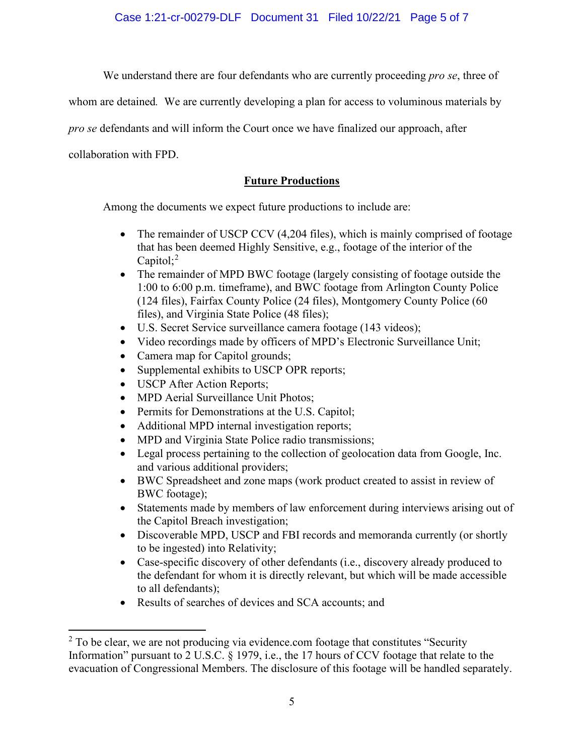Case 1:21-cr-00279-DLF Document 31 Filed 10/22/21 Page 5 of 7

We understand there are four defendants who are currently proceeding *pro se*, three of

whom are detained*.* We are currently developing a plan for access to voluminous materials by

*pro se* defendants and will inform the Court once we have finalized our approach, after

collaboration with FPD.

# **Future Productions**

Among the documents we expect future productions to include are:

- The remainder of USCP CCV (4,204 files), which is mainly comprised of footage that has been deemed Highly Sensitive, e.g., footage of the interior of the Capitol;<sup>2</sup>
- The remainder of MPD BWC footage (largely consisting of footage outside the 1:00 to 6:00 p.m. timeframe), and BWC footage from Arlington County Police (124 files), Fairfax County Police (24 files), Montgomery County Police (60 files), and Virginia State Police (48 files);
- U.S. Secret Service surveillance camera footage (143 videos);
- Video recordings made by officers of MPD's Electronic Surveillance Unit;
- Camera map for Capitol grounds;
- Supplemental exhibits to USCP OPR reports;
- USCP After Action Reports;
- MPD Aerial Surveillance Unit Photos;
- Permits for Demonstrations at the U.S. Capitol;
- Additional MPD internal investigation reports;
- MPD and Virginia State Police radio transmissions;
- Legal process pertaining to the collection of geolocation data from Google, Inc. and various additional providers;
- BWC Spreadsheet and zone maps (work product created to assist in review of BWC footage);
- Statements made by members of law enforcement during interviews arising out of the Capitol Breach investigation;
- Discoverable MPD, USCP and FBI records and memoranda currently (or shortly to be ingested) into Relativity;
- Case-specific discovery of other defendants (i.e., discovery already produced to the defendant for whom it is directly relevant, but which will be made accessible to all defendants);
- Results of searches of devices and SCA accounts; and

 $2$  To be clear, we are not producing via evidence.com footage that constitutes "Security Information" pursuant to 2 U.S.C. § 1979, i.e., the 17 hours of CCV footage that relate to the evacuation of Congressional Members. The disclosure of this footage will be handled separately.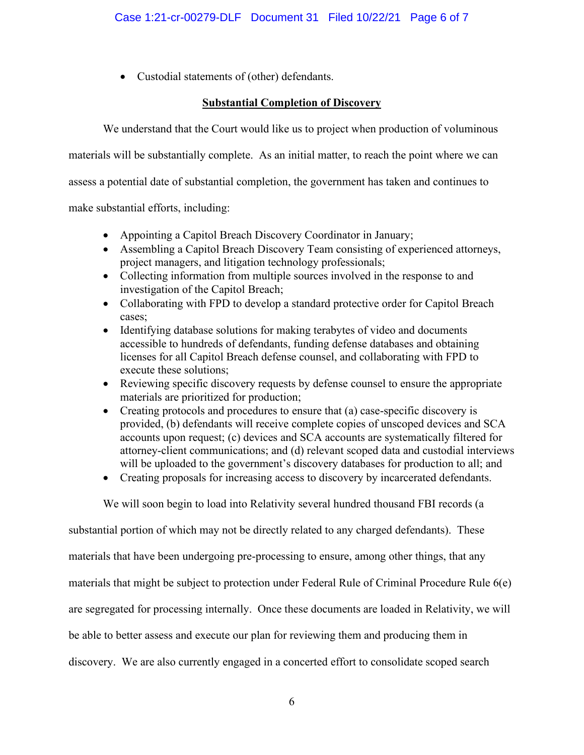• Custodial statements of (other) defendants.

# **Substantial Completion of Discovery**

We understand that the Court would like us to project when production of voluminous

materials will be substantially complete. As an initial matter, to reach the point where we can

assess a potential date of substantial completion, the government has taken and continues to

make substantial efforts, including:

- Appointing a Capitol Breach Discovery Coordinator in January;
- Assembling a Capitol Breach Discovery Team consisting of experienced attorneys, project managers, and litigation technology professionals;
- Collecting information from multiple sources involved in the response to and investigation of the Capitol Breach;
- Collaborating with FPD to develop a standard protective order for Capitol Breach cases;
- Identifying database solutions for making terabytes of video and documents accessible to hundreds of defendants, funding defense databases and obtaining licenses for all Capitol Breach defense counsel, and collaborating with FPD to execute these solutions;
- Reviewing specific discovery requests by defense counsel to ensure the appropriate materials are prioritized for production;
- Creating protocols and procedures to ensure that (a) case-specific discovery is provided, (b) defendants will receive complete copies of unscoped devices and SCA accounts upon request; (c) devices and SCA accounts are systematically filtered for attorney-client communications; and (d) relevant scoped data and custodial interviews will be uploaded to the government's discovery databases for production to all; and
- Creating proposals for increasing access to discovery by incarcerated defendants.

We will soon begin to load into Relativity several hundred thousand FBI records (a

substantial portion of which may not be directly related to any charged defendants). These materials that have been undergoing pre-processing to ensure, among other things, that any materials that might be subject to protection under Federal Rule of Criminal Procedure Rule 6(e) are segregated for processing internally. Once these documents are loaded in Relativity, we will be able to better assess and execute our plan for reviewing them and producing them in discovery. We are also currently engaged in a concerted effort to consolidate scoped search